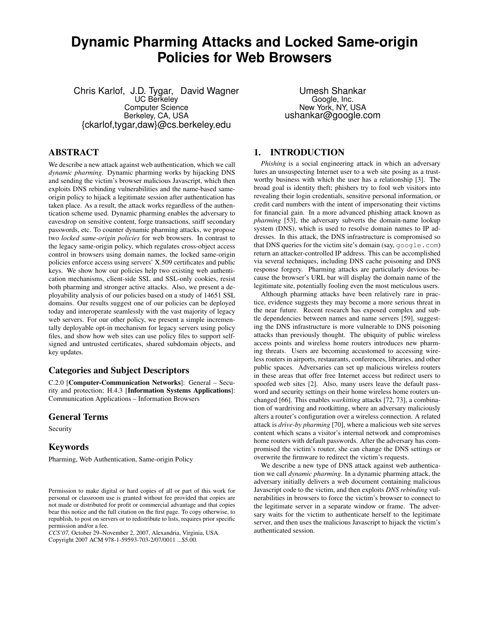# Dynamic Pharming Attacks and Locked Same-origin Policies for Web Browsers

Chris Karlof, J.D. Tygar, David Wagner UC Berkeley Computer Science Berkeley, CA, USA {ckarlof,tygar,daw}@cs.berkeley.edu

ABSTRACT

We describe a new attack against web authentication, which we call dynamic pharming. Dynamic pharming works by hijacking DNS and sending the victim's browser malicious Javascript, which then exploits DNS rebinding vulnerabilities and the name-based sameorigin policy to hijack a legitimate session after authentication has taken place. As a result, the attack works regardless of the authentication scheme used. Dynamic pharming enables the adversary to eavesdrop on sensitive content, forge transactions, sniff secondary passwords, etc. To counter dynamic pharming attacks, we propose two locked same-origin policies for web browsers. In contrast to the legacy same-origin policy, which regulates cross-object access control in browsers using domain names, the locked same-origin policies enforce access using servers' X.509 certificates and public keys. We show how our policies help two existing web authentication mechanisms, client-side SSL and SSL-only cookies, resist both pharming and stronger active attacks. Also, we present a deployability analysis of our policies based on a study of 14651 SSL domains. Our results suggest one of our policies can be deployed today and interoperate seamlessly with the vast majority of legacy web servers. For our other policy, we present a simple incrementally deployable opt-in mechanism for legacy servers using policy files, and show how web sites can use policy files to support selfsigned and untrusted certificates, shared subdomain objects, and key updates.

## Categories and Subject Descriptors

C.2.0 [Computer-Communication Networks]: General – Security and protection; H.4.3 [Information Systems Applications]: Communication Applications – Information Browsers

## General Terms

Security

## Keywords

Pharming, Web Authentication, Same-origin Policy

CCS'07, October 29–November 2, 2007, Alexandria, Virginia, USA. Copyright 2007 ACM 978-1-59593-703-2/07/0011 ...\$5.00.

Umesh Shankar Google, Inc. New York, NY, USA ushankar@google.com

## 1. INTRODUCTION

Phishing is a social engineering attack in which an adversary lures an unsuspecting Internet user to a web site posing as a trustworthy business with which the user has a relationship [3]. The broad goal is identity theft; phishers try to fool web visitors into revealing their login credentials, sensitive personal information, or credit card numbers with the intent of impersonating their victims for financial gain. In a more advanced phishing attack known as pharming [53], the adversary subverts the domain-name lookup system (DNS), which is used to resolve domain names to IP addresses. In this attack, the DNS infrastructure is compromised so that DNS queries for the victim site's domain (say, google.com) return an attacker-controlled IP address. This can be accomplished via several techniques, including DNS cache poisoning and DNS response forgery. Pharming attacks are particularly devious because the browser's URL bar will display the domain name of the legitimate site, potentially fooling even the most meticulous users.

Although pharming attacks have been relatively rare in practice, evidence suggests they may become a more serious threat in the near future. Recent research has exposed complex and subtle dependencies between names and name servers [59], suggesting the DNS infrastructure is more vulnerable to DNS poisoning attacks than previously thought. The ubiquity of public wireless access points and wireless home routers introduces new pharming threats. Users are becoming accustomed to accessing wireless routers in airports, restaurants, conferences, libraries, and other public spaces. Adversaries can set up malicious wireless routers in these areas that offer free Internet access but redirect users to spoofed web sites [2]. Also, many users leave the default password and security settings on their home wireless home routers unchanged [66]. This enables warkitting attacks [72, 73], a combination of wardriving and rootkitting, where an adversary maliciously alters a router's configuration over a wireless connection. A related attack is drive-by pharming [70], where a malicious web site serves content which scans a visitor's internal network and compromises home routers with default passwords. After the adversary has compromised the victim's router, she can change the DNS settings or overwrite the firmware to redirect the victim's requests.

We describe a new type of DNS attack against web authentication we call dynamic pharming. In a dynamic pharming attack, the adversary initially delivers a web document containing malicious Javascript code to the victim, and then exploits DNS rebinding vulnerabilities in browsers to force the victim's browser to connect to the legitimate server in a separate window or frame. The adversary waits for the victim to authenticate herself to the legitimate server, and then uses the malicious Javascript to hijack the victim's authenticated session.

Permission to make digital or hard copies of all or part of this work for personal or classroom use is granted without fee provided that copies are not made or distributed for profit or commercial advantage and that copies bear this notice and the full citation on the first page. To copy otherwise, to republish, to post on servers or to redistribute to lists, requires prior specific permission and/or a fee.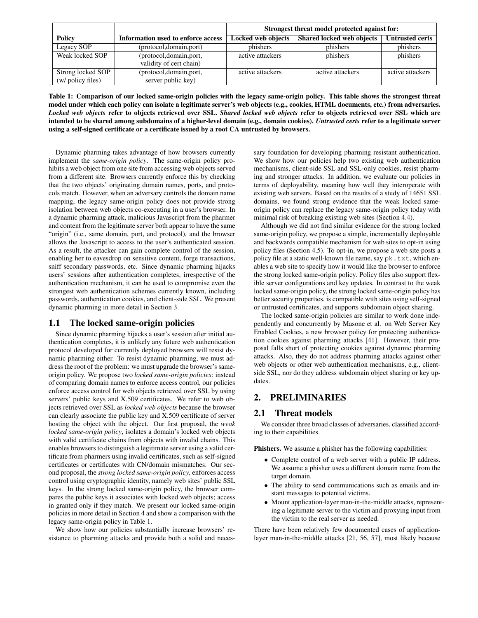|                   |                                    | Strongest threat model protected against for: |                                  |                        |
|-------------------|------------------------------------|-----------------------------------------------|----------------------------------|------------------------|
| <b>Policy</b>     | Information used to enforce access | Locked web objects                            | <b>Shared locked web objects</b> | <b>Untrusted certs</b> |
| Legacy SOP        | (protocol, domain, port)           | phishers                                      | phishers                         | phishers               |
| Weak locked SOP   | (protocol, domain, port,           | active attackers                              | phishers                         | phishers               |
|                   | validity of cert chain)            |                                               |                                  |                        |
| Strong locked SOP | (protocol, domain, port,           | active attackers                              | active attackers                 | active attackers       |
| (w/ policy files) | server public key)                 |                                               |                                  |                        |

Table 1: Comparison of our locked same-origin policies with the legacy same-origin policy. This table shows the strongest threat model under which each policy can isolate a legitimate server's web objects (e.g., cookies, HTML documents, etc.) from adversaries. Locked web objects refer to objects retrieved over SSL. Shared locked web objects refer to objects retrieved over SSL which are intended to be shared among subdomains of a higher-level domain (e.g., domain cookies). Untrusted certs refer to a legitimate server using a self-signed certificate or a certificate issued by a root CA untrusted by browsers.

Dynamic pharming takes advantage of how browsers currently implement the *same-origin policy*. The same-origin policy prohibits a web object from one site from accessing web objects served from a different site. Browsers currently enforce this by checking that the two objects' originating domain names, ports, and protocols match. However, when an adversary controls the domain name mapping, the legacy same-origin policy does not provide strong isolation between web objects co-executing in a user's browser. In a dynamic pharming attack, malicious Javascript from the pharmer and content from the legitimate server both appear to have the same "origin" (i.e., same domain, port, and protocol), and the browser allows the Javascript to access to the user's authenticated session. As a result, the attacker can gain complete control of the session, enabling her to eavesdrop on sensitive content, forge transactions, sniff secondary passwords, etc. Since dynamic pharming hijacks users' sessions after authentication completes, irrespective of the authentication mechanism, it can be used to compromise even the strongest web authentication schemes currently known, including passwords, authentication cookies, and client-side SSL. We present dynamic pharming in more detail in Section 3.

## 1.1 The locked same-origin policies

Since dynamic pharming hijacks a user's session after initial authentication completes, it is unlikely any future web authentication protocol developed for currently deployed browsers will resist dynamic pharming either. To resist dynamic pharming, we must address the root of the problem: we must upgrade the browser's sameorigin policy. We propose two locked same-origin policies: instead of comparing domain names to enforce access control, our policies enforce access control for web objects retrieved over SSL by using servers' public keys and X.509 certificates. We refer to web objects retrieved over SSL as locked web objects because the browser can clearly associate the public key and X.509 certificate of server hosting the object with the object. Our first proposal, the weak locked same-origin policy, isolates a domain's locked web objects with valid certificate chains from objects with invalid chains. This enables browsers to distinguish a legitimate server using a valid certificate from pharmers using invalid certificates, such as self-signed certificates or certificates with CN/domain mismatches. Our second proposal, the strong locked same-origin policy, enforces access control using cryptographic identity, namely web sites' public SSL keys. In the strong locked same-origin policy, the browser compares the public keys it associates with locked web objects; access in granted only if they match. We present our locked same-origin policies in more detail in Section 4 and show a comparison with the legacy same-origin policy in Table 1.

We show how our policies substantially increase browsers' resistance to pharming attacks and provide both a solid and necessary foundation for developing pharming resistant authentication. We show how our policies help two existing web authentication mechanisms, client-side SSL and SSL-only cookies, resist pharming and stronger attacks. In addition, we evaluate our policies in terms of deployability, meaning how well they interoperate with existing web servers. Based on the results of a study of 14651 SSL domains, we found strong evidence that the weak locked sameorigin policy can replace the legacy same-origin policy today with minimal risk of breaking existing web sites (Section 4.4).

Although we did not find similar evidence for the strong locked same-origin policy, we propose a simple, incrementally deployable and backwards compatible mechanism for web sites to opt-in using policy files (Section 4.5). To opt-in, we propose a web site posts a policy file at a static well-known file name, say  $pk$ .  $txt$ , which enables a web site to specify how it would like the browser to enforce the strong locked same-origin policy. Policy files also support flexible server configurations and key updates. In contrast to the weak locked same-origin policy, the strong locked same-origin policy has better security properties, is compatible with sites using self-signed or untrusted certificates, and supports subdomain object sharing.

The locked same-origin policies are similar to work done independently and concurrently by Masone et al. on Web Server Key Enabled Cookies, a new browser policy for protecting authentication cookies against pharming attacks [41]. However, their proposal falls short of protecting cookies against dynamic pharming attacks. Also, they do not address pharming attacks against other web objects or other web authentication mechanisms, e.g., clientside SSL, nor do they address subdomain object sharing or key updates.

## 2. PRELIMINARIES

#### 2.1 Threat models

We consider three broad classes of adversaries, classified according to their capabilities.

Phishers. We assume a phisher has the following capabilities:

- Complete control of a web server with a public IP address. We assume a phisher uses a different domain name from the target domain.
- The ability to send communications such as emails and instant messages to potential victims.
- Mount application-layer man-in-the-middle attacks, representing a legitimate server to the victim and proxying input from the victim to the real server as needed.

There have been relatively few documented cases of applicationlayer man-in-the-middle attacks [21, 56, 57], most likely because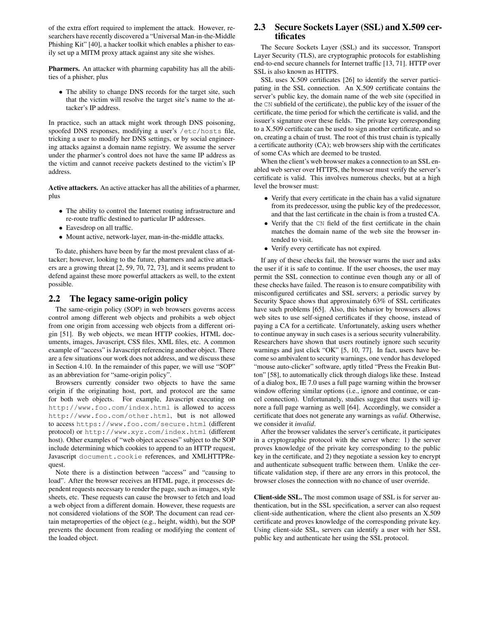of the extra effort required to implement the attack. However, researchers have recently discovered a "Universal Man-in-the-Middle Phishing Kit" [40], a hacker toolkit which enables a phisher to easily set up a MITM proxy attack against any site she wishes.

Pharmers. An attacker with pharming capability has all the abilities of a phisher, plus

• The ability to change DNS records for the target site, such that the victim will resolve the target site's name to the attacker's IP address.

In practice, such an attack might work through DNS poisoning, spoofed DNS responses, modifying a user's /etc/hosts file, tricking a user to modify her DNS settings, or by social engineering attacks against a domain name registry. We assume the server under the pharmer's control does not have the same IP address as the victim and cannot receive packets destined to the victim's IP address.

Active attackers. An active attacker has all the abilities of a pharmer, plus

- The ability to control the Internet routing infrastructure and re-route traffic destined to particular IP addresses.
- Eavesdrop on all traffic.
- Mount active, network-layer, man-in-the-middle attacks.

To date, phishers have been by far the most prevalent class of attacker; however, looking to the future, pharmers and active attackers are a growing threat [2, 59, 70, 72, 73], and it seems prudent to defend against these more powerful attackers as well, to the extent possible.

## 2.2 The legacy same-origin policy

The same-origin policy (SOP) in web browsers governs access control among different web objects and prohibits a web object from one origin from accessing web objects from a different origin [51]. By web objects, we mean HTTP cookies, HTML documents, images, Javascript, CSS files, XML files, etc. A common example of "access" is Javascript referencing another object. There are a few situations our work does not address, and we discuss these in Section 4.10. In the remainder of this paper, we will use "SOP" as an abbreviation for "same-origin policy".

Browsers currently consider two objects to have the same origin if the originating host, port, and protocol are the same for both web objects. For example, Javascript executing on http://www.foo.com/index.html is allowed to access http://www.foo.com/other.html, but is not allowed to access https://www.foo.com/secure.html (different protocol) or http://www.xyz.com/index.html (different host). Other examples of "web object accesses" subject to the SOP include determining which cookies to append to an HTTP request, Javascript document.cookie references, and XMLHTTPRequest.

Note there is a distinction between "access" and "causing to load". After the browser receives an HTML page, it processes dependent requests necessary to render the page, such as images, style sheets, etc. These requests can cause the browser to fetch and load a web object from a different domain. However, these requests are not considered violations of the SOP. The document can read certain metaproperties of the object (e.g., height, width), but the SOP prevents the document from reading or modifying the content of the loaded object.

## 2.3 Secure Sockets Layer (SSL) and X.509 certificates

The Secure Sockets Layer (SSL) and its successor, Transport Layer Security (TLS), are cryptographic protocols for establishing end-to-end secure channels for Internet traffic [13, 71]. HTTP over SSL is also known as HTTPS.

SSL uses X.509 certificates [26] to identify the server participating in the SSL connection. An X.509 certificate contains the server's public key, the domain name of the web site (specified in the CN subfield of the certificate), the public key of the issuer of the certificate, the time period for which the certificate is valid, and the issuer's signature over these fields. The private key corresponding to a X.509 certificate can be used to sign another certificate, and so on, creating a chain of trust. The root of this trust chain is typically a certificate authority (CA); web browsers ship with the certificates of some CAs which are deemed to be trusted.

When the client's web browser makes a connection to an SSL enabled web server over HTTPS, the browser must verify the server's certificate is valid. This involves numerous checks, but at a high level the browser must:

- Verify that every certificate in the chain has a valid signature from its predecessor, using the public key of the predecessor, and that the last certificate in the chain is from a trusted CA.
- Verify that the CN field of the first certificate in the chain matches the domain name of the web site the browser intended to visit.
- Verify every certificate has not expired.

If any of these checks fail, the browser warns the user and asks the user if it is safe to continue. If the user chooses, the user may permit the SSL connection to continue even though any or all of these checks have failed. The reason is to ensure compatibility with misconfigured certificates and SSL servers; a periodic survey by Security Space shows that approximately 63% of SSL certificates have such problems [65]. Also, this behavior by browsers allows web sites to use self-signed certificates if they choose, instead of paying a CA for a certificate. Unfortunately, asking users whether to continue anyway in such cases is a serious security vulnerability. Researchers have shown that users routinely ignore such security warnings and just click "OK" [5, 10, 77]. In fact, users have become so ambivalent to security warnings, one vendor has developed "mouse auto-clicker" software, aptly titled "Press the Freakin Button" [58], to automatically click through dialogs like these. Instead of a dialog box, IE 7.0 uses a full page warning within the browser window offering similar options (i.e., ignore and continue, or cancel connection). Unfortunately, studies suggest that users will ignore a full page warning as well [64]. Accordingly, we consider a certificate that does not generate any warnings as valid. Otherwise, we consider it invalid.

After the browser validates the server's certificate, it participates in a cryptographic protocol with the server where: 1) the server proves knowledge of the private key corresponding to the public key in the certificate, and 2) they negotiate a session key to encrypt and authenticate subsequent traffic between them. Unlike the certificate validation step, if there are any errors in this protocol, the browser closes the connection with no chance of user override.

Client-side SSL. The most common usage of SSL is for server authentication, but in the SSL specification, a server can also request client-side authentication, where the client also presents an X.509 certificate and proves knowledge of the corresponding private key. Using client-side SSL, servers can identify a user with her SSL public key and authenticate her using the SSL protocol.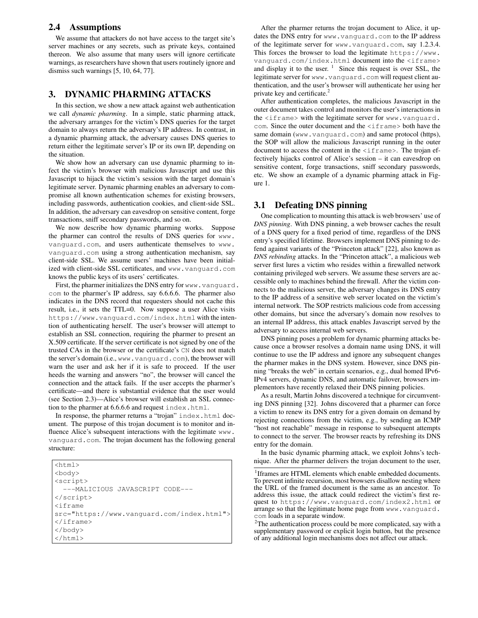# 2.4 Assumptions

We assume that attackers do not have access to the target site's server machines or any secrets, such as private keys, contained thereon. We also assume that many users will ignore certificate warnings, as researchers have shown that users routinely ignore and dismiss such warnings [5, 10, 64, 77].

### 3. DYNAMIC PHARMING ATTACKS

In this section, we show a new attack against web authentication we call dynamic pharming. In a simple, static pharming attack, the adversary arranges for the victim's DNS queries for the target domain to always return the adversary's IP address. In contrast, in a dynamic pharming attack, the adversary causes DNS queries to return either the legitimate server's IP or its own IP, depending on the situation.

We show how an adversary can use dynamic pharming to infect the victim's browser with malicious Javascript and use this Javascript to hijack the victim's session with the target domain's legitimate server. Dynamic pharming enables an adversary to compromise all known authentication schemes for existing browsers, including passwords, authentication cookies, and client-side SSL. In addition, the adversary can eavesdrop on sensitive content, forge transactions, sniff secondary passwords, and so on.

We now describe how dynamic pharming works. Suppose the pharmer can control the results of DNS queries for www. vanguard.com, and users authenticate themselves to www. vanguard.com using a strong authentication mechanism, say client-side SSL. We assume users' machines have been initialized with client-side SSL certificates, and www.vanguard.com knows the public keys of its users' certificates.

First, the pharmer initializes the DNS entry for www.vanguard. com to the pharmer's IP address, say 6.6.6.6. The pharmer also indicates in the DNS record that requesters should not cache this result, i.e., it sets the TTL=0. Now suppose a user Alice visits https://www.vanguard.com/index.html with the intention of authenticating herself. The user's browser will attempt to establish an SSL connection, requiring the pharmer to present an X.509 certificate. If the server certificate is not signed by one of the trusted CAs in the browser or the certificate's CN does not match the server's domain (i.e., www.vanguard.com), the browser will warn the user and ask her if it is safe to proceed. If the user heeds the warning and answers "no", the browser will cancel the connection and the attack fails. If the user accepts the pharmer's certificate—and there is substantial evidence that the user would (see Section 2.3)—Alice's browser will establish an SSL connection to the pharmer at 6.6.6.6 and request index.html.

In response, the pharmer returns a "trojan" index.html document. The purpose of this trojan document is to monitor and influence Alice's subsequent interactions with the legitimate www. vanguard.com. The trojan document has the following general structure:

<html> <body> <script> ---MALICIOUS JAVASCRIPT CODE--- </script> <iframe src="https://www.vanguard.com/index.html"> </iframe> </body> </html>

After the pharmer returns the trojan document to Alice, it updates the DNS entry for www.vanguard.com to the IP address of the legitimate server for www.vanguard.com, say 1.2.3.4. This forces the browser to load the legitimate https://www. vanguard.com/index.html document into the <iframe> and display it to the user.  $1$  Since this request is over SSL, the legitimate server for www.vanguard.com will request client authentication, and the user's browser will authenticate her using her private key and certificate.<sup>2</sup>

After authentication completes, the malicious Javascript in the outer document takes control and monitors the user's interactions in the <iframe> with the legitimate server for www.vanguard. com. Since the outer document and the  $\langle$ iframe> both have the same domain (www.vanguard.com) and same protocol (https), the SOP will allow the malicious Javascript running in the outer document to access the content in the  $\langle$ iframe>. The trojan effectively hijacks control of Alice's session – it can eavesdrop on sensitive content, forge transactions, sniff secondary passwords, etc. We show an example of a dynamic pharming attack in Figure 1.

## 3.1 Defeating DNS pinning

One complication to mounting this attack is web browsers' use of DNS pinning. With DNS pinning, a web browser caches the result of a DNS query for a fixed period of time, regardless of the DNS entry's specified lifetime. Browsers implement DNS pinning to defend against variants of the "Princeton attack" [22], also known as DNS rebinding attacks. In the "Princeton attack", a malicious web server first lures a victim who resides within a firewalled network containing privileged web servers. We assume these servers are accessible only to machines behind the firewall. After the victim connects to the malicious server, the adversary changes its DNS entry to the IP address of a sensitive web server located on the victim's internal network. The SOP restricts malicious code from accessing other domains, but since the adversary's domain now resolves to an internal IP address, this attack enables Javascript served by the adversary to access internal web servers.

DNS pinning poses a problem for dynamic pharming attacks because once a browser resolves a domain name using DNS, it will continue to use the IP address and ignore any subsequent changes the pharmer makes in the DNS system. However, since DNS pinning "breaks the web" in certain scenarios, e.g., dual homed IPv6- IPv4 servers, dynamic DNS, and automatic failover, browsers implementors have recently relaxed their DNS pinning policies.

As a result, Martin Johns discovered a technique for circumventing DNS pinning [32]. Johns discovered that a pharmer can force a victim to renew its DNS entry for a given domain on demand by rejecting connections from the victim, e.g., by sending an ICMP "host not reachable" message in response to subsequent attempts to connect to the server. The browser reacts by refreshing its DNS entry for the domain.

In the basic dynamic pharming attack, we exploit Johns's technique. After the pharmer delivers the trojan document to the user,

 $2$ The authentication process could be more complicated, say with a supplementary password or explicit login button, but the presence of any additional login mechanisms does not affect our attack.

<sup>&</sup>lt;sup>1</sup> Iframes are HTML elements which enable embedded documents. To prevent infinite recursion, most browsers disallow nesting where the URL of the framed document is the same as an ancestor. To address this issue, the attack could redirect the victim's first request to https://www.vanguard.com/index2.html or arrange so that the legitimate home page from www.vanguard. com loads in a separate window.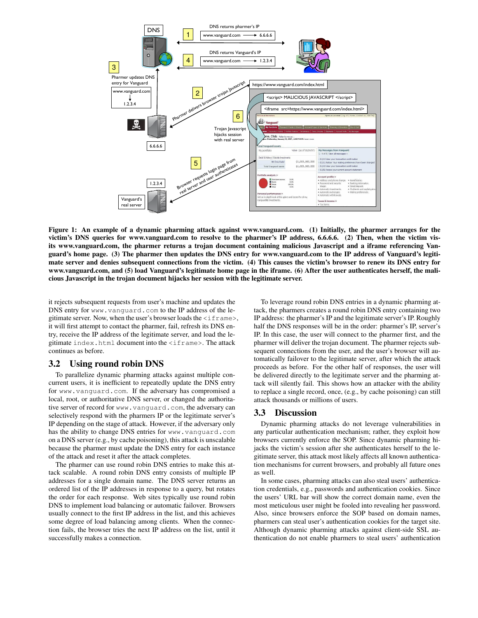

Figure 1: An example of a dynamic pharming attack against www.vanguard.com. (1) Initially, the pharmer arranges for the victim's DNS queries for www.vanguard.com to resolve to the pharmer's IP address, 6.6.6.6. (2) Then, when the victim visits www.vanguard.com, the pharmer returns a trojan document containing malicious Javascript and a iframe referencing Vanguard's home page. (3) The pharmer then updates the DNS entry for www.vanguard.com to the IP address of Vanguard's legitimate server and denies subsequent connections from the victim. (4) This causes the victim's browser to renew its DNS entry for www.vanguard.com, and (5) load Vanguard's legitimate home page in the iframe. (6) After the user authenticates herself, the malicious Javascript in the trojan document hijacks her session with the legitimate server.

it rejects subsequent requests from user's machine and updates the DNS entry for www.vanguard.com to the IP address of the legitimate server. Now, when the user's browser loads the <iframe>, it will first attempt to contact the pharmer, fail, refresh its DNS entry, receive the IP address of the legitimate server, and load the legitimate index.html document into the <iframe>. The attack continues as before.

#### 3.2 Using round robin DNS

To parallelize dynamic pharming attacks against multiple concurrent users, it is inefficient to repeatedly update the DNS entry for www.vanguard.com. If the adversary has compromised a local, root, or authoritative DNS server, or changed the authoritative server of record for www.vanguard.com, the adversary can selectively respond with the pharmers IP or the legitimate server's IP depending on the stage of attack. However, if the adversary only has the ability to change DNS entries for www.vanguard.com on a DNS server (e.g., by cache poisoning), this attack is unscalable because the pharmer must update the DNS entry for each instance of the attack and reset it after the attack completes.

The pharmer can use round robin DNS entries to make this attack scalable. A round robin DNS entry consists of multiple IP addresses for a single domain name. The DNS server returns an ordered list of the IP addresses in response to a query, but rotates the order for each response. Web sites typically use round robin DNS to implement load balancing or automatic failover. Browsers usually connect to the first IP address in the list, and this achieves some degree of load balancing among clients. When the connection fails, the browser tries the next IP address on the list, until it successfully makes a connection.

To leverage round robin DNS entries in a dynamic pharming attack, the pharmers creates a round robin DNS entry containing two IP address: the pharmer's IP and the legitimate server's IP. Roughly half the DNS responses will be in the order: pharmer's IP, server's IP. In this case, the user will connect to the pharmer first, and the pharmer will deliver the trojan document. The pharmer rejects subsequent connections from the user, and the user's browser will automatically failover to the legitimate server, after which the attack proceeds as before. For the other half of responses, the user will be delivered directly to the legitimate server and the pharming attack will silently fail. This shows how an attacker with the ability to replace a single record, once, (e.g., by cache poisoning) can still attack thousands or millions of users.

#### 3.3 Discussion

Dynamic pharming attacks do not leverage vulnerabilities in any particular authentication mechanism; rather, they exploit how browsers currently enforce the SOP. Since dynamic pharming hijacks the victim's session after she authenticates herself to the legitimate server, this attack most likely affects all known authentication mechanisms for current browsers, and probably all future ones as well.

In some cases, pharming attacks can also steal users' authentication credentials, e.g., passwords and authentication cookies. Since the users' URL bar will show the correct domain name, even the most meticulous user might be fooled into revealing her password. Also, since browsers enforce the SOP based on domain names, pharmers can steal user's authentication cookies for the target site. Although dynamic pharming attacks against client-side SSL authentication do not enable pharmers to steal users' authentication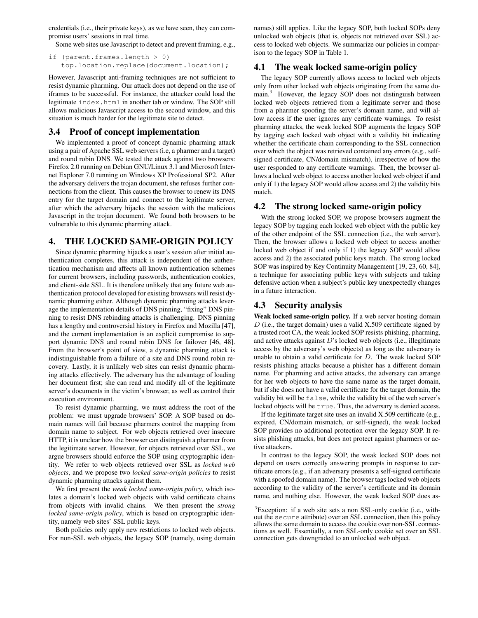credentials (i.e., their private keys), as we have seen, they can compromise users' sessions in real time.

Some web sites use Javascript to detect and prevent framing, e.g.,

```
if (parent.frames.length > 0)
  top.location.replace(document.location);
```
However, Javascript anti-framing techniques are not sufficient to resist dynamic pharming. Our attack does not depend on the use of iframes to be successful. For instance, the attacker could load the legitimate index.html in another tab or window. The SOP still allows malicious Javascript access to the second window, and this situation is much harder for the legitimate site to detect.

#### 3.4 Proof of concept implementation

We implemented a proof of concept dynamic pharming attack using a pair of Apache SSL web servers (i.e, a pharmer and a target) and round robin DNS. We tested the attack against two browsers: Firefox 2.0 running on Debian GNU/Linux 3.1 and Microsoft Internet Explorer 7.0 running on Windows XP Professional SP2. After the adversary delivers the trojan document, she refuses further connections from the client. This causes the browser to renew its DNS entry for the target domain and connect to the legitimate server, after which the adversary hijacks the session with the malicious Javascript in the trojan document. We found both browsers to be vulnerable to this dynamic pharming attack.

## 4. THE LOCKED SAME-ORIGIN POLICY

Since dynamic pharming hijacks a user's session after initial authentication completes, this attack is independent of the authentication mechanism and affects all known authentication schemes for current browsers, including passwords, authentication cookies, and client-side SSL. It is therefore unlikely that any future web authentication protocol developed for existing browsers will resist dynamic pharming either. Although dynamic pharming attacks leverage the implementation details of DNS pinning, "fixing" DNS pinning to resist DNS rebinding attacks is challenging. DNS pinning has a lengthy and controversial history in Firefox and Mozilla [47], and the current implementation is an explicit compromise to support dynamic DNS and round robin DNS for failover [46, 48]. From the browser's point of view, a dynamic pharming attack is indistinguishable from a failure of a site and DNS round robin recovery. Lastly, it is unlikely web sites can resist dynamic pharming attacks effectively. The adversary has the advantage of loading her document first; she can read and modify all of the legitimate server's documents in the victim's browser, as well as control their execution environment.

To resist dynamic pharming, we must address the root of the problem: we must upgrade browsers' SOP. A SOP based on domain names will fail because pharmers control the mapping from domain name to subject. For web objects retrieved over insecure HTTP, it is unclear how the browser can distinguish a pharmer from the legitimate server. However, for objects retrieved over SSL, we argue browsers should enforce the SOP using cryptographic identity. We refer to web objects retrieved over SSL as locked web objects, and we propose two locked same-origin policies to resist dynamic pharming attacks against them.

We first present the *weak locked same-origin policy*, which isolates a domain's locked web objects with valid certificate chains from objects with invalid chains. We then present the strong locked same-origin policy, which is based on cryptographic identity, namely web sites' SSL public keys.

Both policies only apply new restrictions to locked web objects. For non-SSL web objects, the legacy SOP (namely, using domain names) still applies. Like the legacy SOP, both locked SOPs deny unlocked web objects (that is, objects not retrieved over SSL) access to locked web objects. We summarize our policies in comparison to the legacy SOP in Table 1.

#### 4.1 The weak locked same-origin policy

The legacy SOP currently allows access to locked web objects only from other locked web objects originating from the same domain.<sup>3</sup> However, the legacy SOP does not distinguish between locked web objects retrieved from a legitimate server and those from a pharmer spoofing the server's domain name, and will allow access if the user ignores any certificate warnings. To resist pharming attacks, the weak locked SOP augments the legacy SOP by tagging each locked web object with a validity bit indicating whether the certificate chain corresponding to the SSL connection over which the object was retrieved contained any errors (e.g., selfsigned certificate, CN/domain mismatch), irrespective of how the user responded to any certificate warnings. Then, the browser allows a locked web object to access another locked web object if and only if 1) the legacy SOP would allow access and 2) the validity bits match.

#### 4.2 The strong locked same-origin policy

With the strong locked SOP, we propose browsers augment the legacy SOP by tagging each locked web object with the public key of the other endpoint of the SSL connection (i.e., the web server). Then, the browser allows a locked web object to access another locked web object if and only if 1) the legacy SOP would allow access and 2) the associated public keys match. The strong locked SOP was inspired by Key Continuity Management [19, 23, 60, 84], a technique for associating public keys with subjects and taking defensive action when a subject's public key unexpectedly changes in a future interaction.

#### 4.3 Security analysis

Weak locked same-origin policy. If a web server hosting domain D (i.e., the target domain) uses a valid  $X.509$  certificate signed by a trusted root CA, the weak locked SOP resists phishing, pharming, and active attacks against  $D$ 's locked web objects (i.e., illegitimate access by the adversary's web objects) as long as the adversary is unable to obtain a valid certificate for  $D$ . The weak locked SOP resists phishing attacks because a phisher has a different domain name. For pharming and active attacks, the adversary can arrange for her web objects to have the same name as the target domain, but if she does not have a valid certificate for the target domain, the validity bit will be false, while the validity bit of the web server's locked objects will be true. Thus, the adversary is denied access.

If the legitimate target site uses an invalid X.509 certificate (e.g., expired, CN/domain mismatch, or self-signed), the weak locked SOP provides no additional protection over the legacy SOP. It resists phishing attacks, but does not protect against pharmers or active attackers.

In contrast to the legacy SOP, the weak locked SOP does not depend on users correctly answering prompts in response to certificate errors (e.g., if an adversary presents a self-signed certificate with a spoofed domain name). The browser tags locked web objects according to the validity of the server's certificate and its domain name, and nothing else. However, the weak locked SOP does as-

<sup>3</sup>Exception: if a web site sets a non SSL-only cookie (i.e., without the secure attribute) over an SSL connection, then this policy allows the same domain to access the cookie over non-SSL connections as well. Essentially, a non SSL-only cookie set over an SSL connection gets downgraded to an unlocked web object.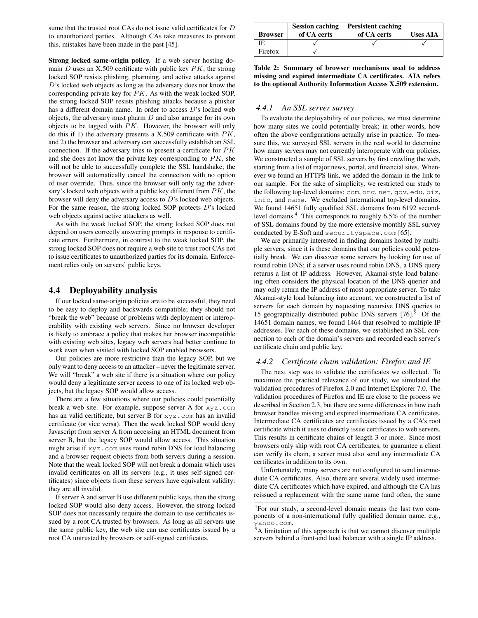sume that the trusted root CAs do not issue valid certificates for D to unauthorized parties. Although CAs take measures to prevent this, mistakes have been made in the past [45].

Strong locked same-origin policy. If a web server hosting domain  $D$  uses an X.509 certificate with public key  $PK$ , the strong locked SOP resists phishing, pharming, and active attacks against D's locked web objects as long as the adversary does not know the corresponding private key for  $PK$ . As with the weak locked SOP, the strong locked SOP resists phishing attacks because a phisher has a different domain name. In order to access D's locked web objects, the adversary must pharm  $D$  and also arrange for its own objects to be tagged with  $PK$ . However, the browser will only do this if 1) the adversary presents a  $X.509$  certificate with  $PK$ , and 2) the browser and adversary can successfully establish an SSL connection. If the adversary tries to present a certificate for  $PK$ and she does not know the private key corresponding to  $PK$ , she will not be able to successfully complete the SSL handshake; the browser will automatically cancel the connection with no option of user override. Thus, since the browser will only tag the adversary's locked web objects with a public key different from  $PK$ , the browser will deny the adversary access to D's locked web objects. For the same reason, the strong locked SOP protects D's locked web objects against active attackers as well.

As with the weak locked SOP, the strong locked SOP does not depend on users correctly answering prompts in response to certificate errors. Furthermore, in contrast to the weak locked SOP, the strong locked SOP does not require a web site to trust root CAs not to issue certificates to unauthorized parties for its domain. Enforcement relies only on servers' public keys.

## 4.4 Deployability analysis

If our locked same-origin policies are to be successful, they need to be easy to deploy and backwards compatible; they should not "break the web" because of problems with deployment or interoperability with existing web servers. Since no browser developer is likely to embrace a policy that makes her browser incompatible with existing web sites, legacy web servers had better continue to work even when visited with locked SOP enabled browsers.

Our policies are more restrictive than the legacy SOP, but we only want to deny accessto an attacker – never the legitimate server. We will "break" a web site if there is a situation where our policy would deny a legitimate server access to one of its locked web objects, but the legacy SOP would allow access.

There are a few situations where our policies could potentially break a web site. For example, suppose server A for xyz.com has an valid certificate, but server B for xyz.com has an invalid certificate (or vice versa). Then the weak locked SOP would deny Javascript from server A from accessing an HTML document from server B, but the legacy SOP would allow access. This situation might arise if  $xyz$ .com uses round robin DNS for load balancing and a browser request objects from both servers during a session. Note that the weak locked SOP will not break a domain which uses invalid certificates on all its servers (e.g., it uses self-signed certificates) since objects from these servers have equivalent validity: they are all invalid.

If server A and server B use different public keys, then the strong locked SOP would also deny access. However, the strong locked SOP does not necessarily require the domain to use certificates issued by a root CA trusted by browsers. As long as all servers use the same public key, the web site can use certificates issued by a root CA untrusted by browsers or self-signed certificates.

| <b>Browser</b> | <b>Session caching</b><br>of CA certs | <b>Persistent caching</b><br>of CA certs | <b>Uses AIA</b> |
|----------------|---------------------------------------|------------------------------------------|-----------------|
| IΕ             |                                       |                                          |                 |
| Firefox        |                                       |                                          |                 |

Table 2: Summary of browser mechanisms used to address missing and expired intermediate CA certificates. AIA refers to the optional Authority Information Access X.509 extension.

#### 4.4.1 An SSL server survey

To evaluate the deployability of our policies, we must determine how many sites we could potentially break; in other words, how often the above configurations actually arise in practice. To measure this, we surveyed SSL servers in the real world to determine how many servers may not currently interoperate with our policies. We constructed a sample of SSL servers by first crawling the web, starting from a list of major news, portal, and financial sites. Whenever we found an HTTPS link, we added the domain in the link to our sample. For the sake of simplicity, we restricted our study to the following top-level domains: com, org, net, gov, edu, biz, info, and name. We excluded international top-level domains. We found 14651 fully qualified SSL domains from 6192 secondlevel domains.<sup>4</sup> This corresponds to roughly 6.5% of the number of SSL domains found by the more extensive monthly SSL survey conducted by E-Soft and securityspace.com [65].

We are primarily interested in finding domains hosted by multiple servers, since it is these domains that our policies could potentially break. We can discover some servers by looking for use of round robin DNS; if a server uses round robin DNS, a DNS query returns a list of IP address. However, Akamai-style load balancing often considers the physical location of the DNS querier and may only return the IP address of most appropriate server. To take Akamai-style load balancing into account, we constructed a list of servers for each domain by requesting recursive DNS queries to 15 geographically distributed public DNS servers  $[76]$ <sup>3</sup> Of the 14651 domain names, we found 1464 that resolved to multiple IP addresses. For each of these domains, we established an SSL connection to each of the domain's servers and recorded each server's certificate chain and public key.

#### 4.4.2 Certificate chain validation: Firefox and IE

The next step was to validate the certificates we collected. To maximize the practical relevance of our study, we simulated the validation procedures of Firefox 2.0 and Internet Explorer 7.0. The validation procedures of Firefox and IE are close to the process we described in Section 2.3, but there are some differences in how each browser handles missing and expired intermediate CA certificates. Intermediate CA certificates are certificates issued by a CA's root certificate which it uses to directly issue certificates to web servers. This results in certificate chains of length 3 or more. Since most browsers only ship with root CA certificates, to guarantee a client can verify its chain, a server must also send any intermediate CA certificates in addition to its own.

Unfortunately, many servers are not configured to send intermediate CA certificates. Also, there are several widely used intermediate CA certificates which have expired, and although the CA has reissued a replacement with the same name (and often, the same

<sup>4</sup> For our study, a second-level domain means the last two components of a non-international fully qualified domain name, e.g., yahoo.com.

 $5A$  limitation of this approach is that we cannot discover multiple servers behind a front-end load balancer with a single IP address.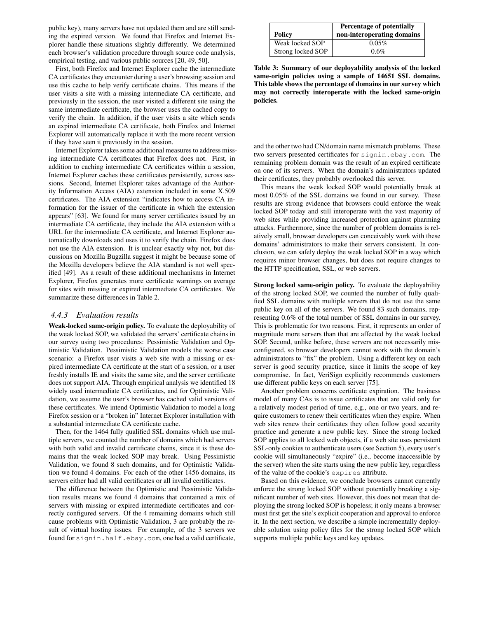public key), many servers have not updated them and are still sending the expired version. We found that Firefox and Internet Explorer handle these situations slightly differently. We determined each browser's validation procedure through source code analysis, empirical testing, and various public sources [20, 49, 50].

First, both Firefox and Internet Explorer cache the intermediate CA certificates they encounter during a user's browsing session and use this cache to help verify certificate chains. This means if the user visits a site with a missing intermediate CA certificate, and previously in the session, the user visited a different site using the same intermediate certificate, the browser uses the cached copy to verify the chain. In addition, if the user visits a site which sends an expired intermediate CA certificate, both Firefox and Internet Explorer will automatically replace it with the more recent version if they have seen it previously in the session.

Internet Explorer takes some additional measures to address missing intermediate CA certificates that Firefox does not. First, in addition to caching intermediate CA certificates within a session, Internet Explorer caches these certificates persistently, across sessions. Second, Internet Explorer takes advantage of the Authority Information Access (AIA) extension included in some X.509 certificates. The AIA extension "indicates how to access CA information for the issuer of the certificate in which the extension appears" [63]. We found for many server certificates issued by an intermediate CA certificate, they include the AIA extension with a URL for the intermediate CA certificate, and Internet Explorer automatically downloads and uses it to verify the chain. Firefox does not use the AIA extension. It is unclear exactly why not, but discussions on Mozilla Bugzilla suggest it might be because some of the Mozilla developers believe the AIA standard is not well specified [49]. As a result of these additional mechanisms in Internet Explorer, Firefox generates more certificate warnings on average for sites with missing or expired intermediate CA certificates. We summarize these differences in Table 2.

#### 4.4.3 Evaluation results

Weak-locked same-origin policy. To evaluate the deployability of the weak locked SOP, we validated the servers' certificate chains in our survey using two procedures: Pessimistic Validation and Optimistic Validation. Pessimistic Validation models the worse case scenario: a Firefox user visits a web site with a missing or expired intermediate CA certificate at the start of a session, or a user freshly installs IE and visits the same site, and the server certificate does not support AIA. Through empirical analysis we identified 18 widely used intermediate CA certificates, and for Optimistic Validation, we assume the user's browser has cached valid versions of these certificates. We intend Optimistic Validation to model a long Firefox session or a "broken in" Internet Explorer installation with a substantial intermediate CA certificate cache.

Then, for the 1464 fully qualified SSL domains which use multiple servers, we counted the number of domains which had servers with both valid and invalid certificate chains, since it is these domains that the weak locked SOP may break. Using Pessimistic Validation, we found 8 such domains, and for Optimistic Validation we found 4 domains. For each of the other 1456 domains, its servers either had all valid certificates or all invalid certificates.

The difference between the Optimistic and Pessimistic Validation results means we found 4 domains that contained a mix of servers with missing or expired intermediate certificates and correctly configured servers. Of the 4 remaining domains which still cause problems with Optimistic Validation, 3 are probably the result of virtual hosting issues. For example, of the 3 servers we found for signin.half.ebay.com, one had a valid certificate,

| Policy            | Percentage of potentially<br>non-interoperating domains |  |
|-------------------|---------------------------------------------------------|--|
| Weak locked SOP   | $0.05\%$                                                |  |
| Strong locked SOP | 0.6%                                                    |  |

Table 3: Summary of our deployability analysis of the locked same-origin policies using a sample of 14651 SSL domains. This table shows the percentage of domains in our survey which may not correctly interoperate with the locked same-origin policies.

and the other two had CN/domain name mismatch problems. These two servers presented certificates for signin.ebay.com. The remaining problem domain was the result of an expired certificate on one of its servers. When the domain's administrators updated their certificates, they probably overlooked this server.

This means the weak locked SOP would potentially break at most 0.05% of the SSL domains we found in our survey. These results are strong evidence that browsers could enforce the weak locked SOP today and still interoperate with the vast majority of web sites while providing increased protection against pharming attacks. Furthermore, since the number of problem domains is relatively small, browser developers can conceivably work with these domains' administrators to make their servers consistent. In conclusion, we can safely deploy the weak locked SOP in a way which requires minor browser changes, but does not require changes to the HTTP specification, SSL, or web servers.

Strong locked same-origin policy. To evaluate the deployability of the strong locked SOP, we counted the number of fully qualified SSL domains with multiple servers that do not use the same public key on all of the servers. We found 83 such domains, representing 0.6% of the total number of SSL domains in our survey. This is problematic for two reasons. First, it represents an order of magnitude more servers than that are affected by the weak locked SOP. Second, unlike before, these servers are not necessarily misconfigured, so browser developers cannot work with the domain's administrators to "fix" the problem. Using a different key on each server is good security practice, since it limits the scope of key compromise. In fact, VeriSign explicitly recommends customers use different public keys on each server [75].

Another problem concerns certificate expiration. The business model of many CAs is to issue certificates that are valid only for a relatively modest period of time, e.g., one or two years, and require customers to renew their certificates when they expire. When web sites renew their certificates they often follow good security practice and generate a new public key. Since the strong locked SOP applies to all locked web objects, if a web site uses persistent SSL-only cookies to authenticate users (see Section 5), every user's cookie will simultaneously "expire" (i.e., become inaccessible by the server) when the site starts using the new public key, regardless of the value of the cookie's expires attribute.

Based on this evidence, we conclude browsers cannot currently enforce the strong locked SOP without potentially breaking a significant number of web sites. However, this does not mean that deploying the strong locked SOP is hopeless; it only means a browser must first get the site's explicit cooperation and approval to enforce it. In the next section, we describe a simple incrementally deployable solution using policy files for the strong locked SOP which supports multiple public keys and key updates.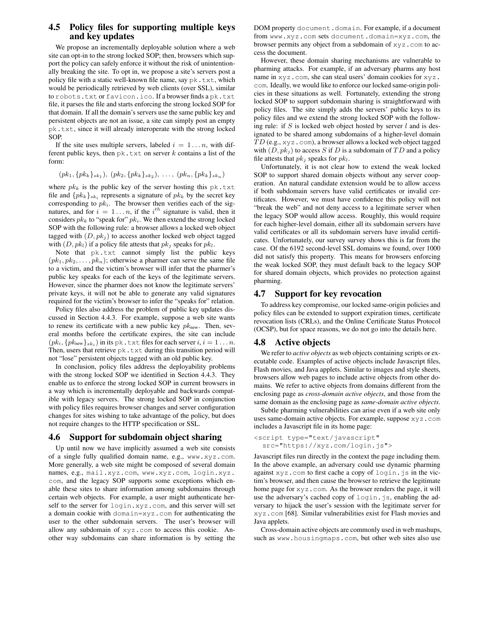## 4.5 Policy files for supporting multiple keys and key updates

We propose an incrementally deployable solution where a web site can opt-in to the strong locked SOP; then, browsers which support the policy can safely enforce it without the risk of unintentionally breaking the site. To opt in, we propose a site's servers post a policy file with a static well-known file name, say  $pk$ .  $txt$ , which would be periodically retrieved by web clients (over SSL), similar to robots.txt or favicon.ico. If a browser finds a pk.txt file, it parses the file and starts enforcing the strong locked SOP for that domain. If all the domain's servers use the same public key and persistent objects are not an issue, a site can simply post an empty pk.txt, since it will already interoperate with the strong locked SOP.

If the site uses multiple servers, labeled  $i = 1...n$ , with different public keys, then  $pk.txt$  on server k contains a list of the form:

$$
(pk_1, \{pk_k\}_{sk_1}), (pk_2, \{pk_k\}_{sk_2}), \ldots, (pk_n, \{pk_k\}_{sk_n})
$$

where  $pk_k$  is the public key of the server hosting this pk.txt file and  $\{pk_k\}_{sk_i}$  represents a signature of  $pk_k$  by the secret key corresponding to  $pk_i$ . The browser then verifies each of the signatures, and for  $i = 1...n$ , if the  $i<sup>th</sup>$  signature is valid, then it considers  $pk_k$  to "speak for"  $pk_i$ . We then extend the strong locked SOP with the following rule: a browser allows a locked web object tagged with  $(D, pk<sub>j</sub>)$  to access another locked web object tagged with  $(D, pk_l)$  if a policy file attests that  $pk_j$  speaks for  $pk_l$ .

Note that pk.txt cannot simply list the public keys  $(pk_1, pk_2, \ldots, pk_n)$ ; otherwise a pharmer can serve the same file to a victim, and the victim's browser will infer that the pharmer's public key speaks for each of the keys of the legitimate servers. However, since the pharmer does not know the legitimate servers' private keys, it will not be able to generate any valid signatures required for the victim's browser to infer the "speaks for" relation.

Policy files also address the problem of public key updates discussed in Section 4.4.3. For example, suppose a web site wants to renew its certificate with a new public key  $pk_{\text{new}}$ . Then, several months before the certificate expires, the site can include  $(pk_i, \{pk_{\text{new}}\}_{sk_i})$  in its pk.txt files for each server  $i, i = 1 \dots n$ . Then, users that retrieve pk.txt during this transition period will not "lose" persistent objects tagged with an old public key.

In conclusion, policy files address the deployability problems with the strong locked SOP we identified in Section 4.4.3. They enable us to enforce the strong locked SOP in current browsers in a way which is incrementally deployable and backwards compatible with legacy servers. The strong locked SOP in conjunction with policy files requires browser changes and server configuration changes for sites wishing to take advantage of the policy, but does not require changes to the HTTP specification or SSL.

## 4.6 Support for subdomain object sharing

Up until now we have implicitly assumed a web site consists of a single fully qualified domain name, e.g., www.xyz.com. More generally, a web site might be composed of several domain names, e.g., mail.xyz.com, www.xyz.com, login.xyz. com, and the legacy SOP supports some exceptions which enable these sites to share information among subdomains through certain web objects. For example, a user might authenticate herself to the server for login.xyz.com, and this server will set a domain cookie with domain=xyz.com for authenticating the user to the other subdomain servers. The user's browser will allow any subdomain of xyz.com to access this cookie. Another way subdomains can share information is by setting the DOM property document.domain. For example, if a document from www.xyz.com sets document.domain=xyz.com, the browser permits any object from a subdomain of  $xyz$ .com to access the document.

However, these domain sharing mechanisms are vulnerable to pharming attacks. For example, if an adversary pharms any host name in  $xyz$ .com, she can steal users' domain cookies for  $xyz$ . com. Ideally, we would like to enforce our locked same-origin policies in these situations as well. Fortunately, extending the strong locked SOP to support subdomain sharing is straightforward with policy files. The site simply adds the servers' public keys to its policy files and we extend the strong locked SOP with the following rule: if  $S$  is locked web object hosted by server  $l$  and is designated to be shared among subdomains of a higher-level domain  $TD$  (e.g.,  $xyz$ .com), a browser allows a locked web object tagged with  $(D, pk<sub>i</sub>)$  to access S if D is a subdomain of TD and a policy file attests that  $pk_j$  speaks for  $pk_l$ .

Unfortunately, it is not clear how to extend the weak locked SOP to support shared domain objects without any server cooperation. An natural candidate extension would be to allow access if both subdomain servers have valid certificates or invalid certificates. However, we must have confidence this policy will not "break the web" and not deny access to a legitimate server when the legacy SOP would allow access. Roughly, this would require for each higher-level domain, either all its subdomain servers have valid certificates or all its subdomain servers have invalid certificates. Unfortunately, our survey survey shows this is far from the case. Of the 6192 second-level SSL domains we found, over 1000 did not satisfy this property. This means for browsers enforcing the weak locked SOP, they must default back to the legacy SOP for shared domain objects, which provides no protection against pharming.

## 4.7 Support for key revocation

To address key compromise, our locked same-origin policies and policy files can be extended to support expiration times, certificate revocation lists (CRLs), and the Online Certificate Status Protocol (OCSP), but for space reasons, we do not go into the details here.

#### 4.8 Active objects

We refer to *active objects* as web objects containing scripts or executable code. Examples of active objects include Javascript files, Flash movies, and Java applets. Similar to images and style sheets, browsers allow web pages to include active objects from other domains. We refer to active objects from domains different from the enclosing page as cross-domain active objects, and those from the same domain as the enclosing page as same-domain active objects.

Subtle pharming vulnerabilities can arise even if a web site only uses same-domain active objects. For example, suppose xyz.com includes a Javascript file in its home page:

```
<script type="text/javascript"
 src="https://xyz.com/login.js">
```
Javascript files run directly in the context the page including them. In the above example, an adversary could use dynamic pharming against xyz.com to first cache a copy of login.js in the victim's browser, and then cause the browser to retrieve the legitimate home page for  $xyz$ .com. As the browser renders the page, it will use the adversary's cached copy of login.js, enabling the adversary to hijack the user's session with the legitimate server for xyz.com [68]. Similar vulnerabilities exist for Flash movies and Java applets.

Cross-domain active objects are commonly used in web mashups, such as www.housingmaps.com, but other web sites also use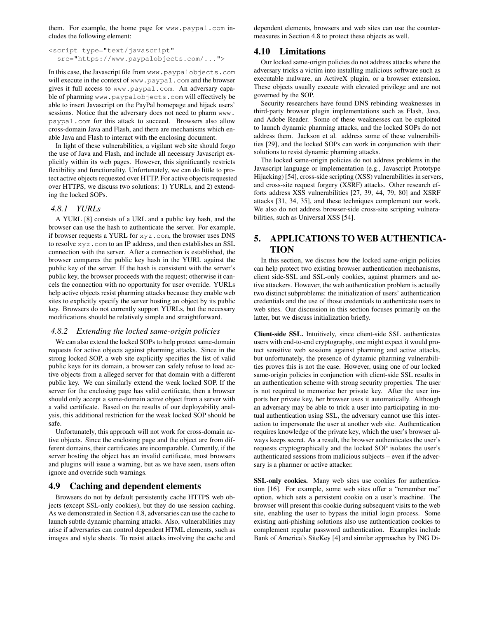them. For example, the home page for www.paypal.com includes the following element:

```
<script type="text/javascript"
src="https://www.paypalobjects.com/...">
```
In this case, the Javascript file from www.paypalobjects.com will execute in the context of www.paypal.com and the browser gives it full access to www.paypal.com. An adversary capable of pharming www.paypalobjects.com will effectively be able to insert Javascript on the PayPal homepage and hijack users' sessions. Notice that the adversary does not need to pharm www. paypal.com for this attack to succeed. Browsers also allow cross-domain Java and Flash, and there are mechanisms which enable Java and Flash to interact with the enclosing document.

In light of these vulnerabilities, a vigilant web site should forgo the use of Java and Flash, and include all necessary Javascript explicitly within its web pages. However, this significantly restricts flexibility and functionality. Unfortunately, we can do little to protect active objects requested over HTTP. For active objects requested over HTTPS, we discuss two solutions: 1) YURLs, and 2) extending the locked SOPs.

#### 4.8.1 YURLs

A YURL [8] consists of a URL and a public key hash, and the browser can use the hash to authenticate the server. For example, if browser requests a YURL for xyz.com, the browser uses DNS to resolve  $xyz$ .com to an IP address, and then establishes an SSL connection with the server. After a connection is established, the browser compares the public key hash in the YURL against the public key of the server. If the hash is consistent with the server's public key, the browser proceeds with the request; otherwise it cancels the connection with no opportunity for user override. YURLs help active objects resist pharming attacks because they enable web sites to explicitly specify the server hosting an object by its public key. Browsers do not currently support YURLs, but the necessary modifications should be relatively simple and straightforward.

#### 4.8.2 Extending the locked same-origin policies

We can also extend the locked SOPs to help protect same-domain requests for active objects against pharming attacks. Since in the strong locked SOP, a web site explicitly specifies the list of valid public keys for its domain, a browser can safely refuse to load active objects from a alleged server for that domain with a different public key. We can similarly extend the weak locked SOP. If the server for the enclosing page has valid certificate, then a browser should only accept a same-domain active object from a server with a valid certificate. Based on the results of our deployability analysis, this additional restriction for the weak locked SOP should be safe.

Unfortunately, this approach will not work for cross-domain active objects. Since the enclosing page and the object are from different domains, their certificates are incomparable. Currently, if the server hosting the object has an invalid certificate, most browsers and plugins will issue a warning, but as we have seen, users often ignore and override such warnings.

#### 4.9 Caching and dependent elements

Browsers do not by default persistently cache HTTPS web objects (except SSL-only cookies), but they do use session caching. As we demonstrated in Section 4.8, adversaries can use the cache to launch subtle dynamic pharming attacks. Also, vulnerabilities may arise if adversaries can control dependent HTML elements, such as images and style sheets. To resist attacks involving the cache and dependent elements, browsers and web sites can use the countermeasures in Section 4.8 to protect these objects as well.

#### 4.10 Limitations

Our locked same-origin policies do not address attacks where the adversary tricks a victim into installing malicious software such as executable malware, an ActiveX plugin, or a browser extension. These objects usually execute with elevated privilege and are not governed by the SOP.

Security researchers have found DNS rebinding weaknesses in third-party browser plugin implementations such as Flash, Java, and Adobe Reader. Some of these weaknesses can be exploited to launch dynamic pharming attacks, and the locked SOPs do not address them. Jackson et al. address some of these vulnerabilities [29], and the locked SOPs can work in conjunction with their solutions to resist dynamic pharming attacks.

The locked same-origin policies do not address problems in the Javascript language or implementation (e.g., Javascript Prototype Hijacking) [54], cross-side scripting  $(XSS)$  vulnerabilities in servers, and cross-site request forgery (XSRF) attacks. Other research efforts address XSS vulnerabilities [27, 39, 44, 79, 80] and XSRF attacks [31, 34, 35], and these techniques complement our work. We also do not address browser-side cross-site scripting vulnerabilities, such as Universal XSS [54].

# 5. APPLICATIONS TO WEB AUTHENTICA-TION

In this section, we discuss how the locked same-origin policies can help protect two existing browser authentication mechanisms, client side-SSL and SSL-only cookies, against pharmers and active attackers. However, the web authentication problem is actually two distinct subproblems: the initialization of users' authentication credentials and the use of those credentials to authenticate users to web sites. Our discussion in this section focuses primarily on the latter, but we discuss initialization briefly.

Client-side SSL. Intuitively, since client-side SSL authenticates users with end-to-end cryptography, one might expect it would protect sensitive web sessions against pharming and active attacks, but unfortunately, the presence of dynamic pharming vulnerabilities proves this is not the case. However, using one of our locked same-origin policies in conjunction with client-side SSL results in an authentication scheme with strong security properties. The user is not required to memorize her private key. After the user imports her private key, her browser uses it automatically. Although an adversary may be able to trick a user into participating in mutual authentication using SSL, the adversary cannot use this interaction to impersonate the user at another web site. Authentication requires knowledge of the private key, which the user's browser always keeps secret. As a result, the browser authenticates the user's requests cryptographically and the locked SOP isolates the user's authenticated sessions from malicious subjects – even if the adversary is a pharmer or active attacker.

SSL-only cookies. Many web sites use cookies for authentication [16]. For example, some web sites offer a "remember me" option, which sets a persistent cookie on a user's machine. The browser will present this cookie during subsequent visits to the web site, enabling the user to bypass the initial login process. Some existing anti-phishing solutions also use authentication cookies to complement regular password authentication. Examples include Bank of America's SiteKey [4] and similar approaches by ING Di-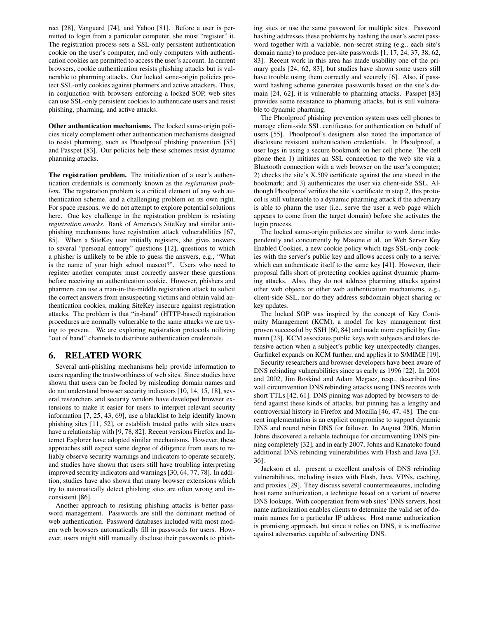rect [28], Vanguard [74], and Yahoo [81]. Before a user is permitted to login from a particular computer, she must "register" it. The registration process sets a SSL-only persistent authentication cookie on the user's computer, and only computers with authentication cookies are permitted to access the user's account. In current browsers, cookie authentication resists phishing attacks but is vulnerable to pharming attacks. Our locked same-origin policies protect SSL-only cookies against pharmers and active attackers. Thus, in conjunction with browsers enforcing a locked SOP, web sites can use SSL-only persistent cookies to authenticate users and resist phishing, pharming, and active attacks.

Other authentication mechanisms. The locked same-origin policies nicely complement other authentication mechanisms designed to resist pharming, such as Phoolproof phishing prevention [55] and Passpet [83]. Our policies help these schemes resist dynamic pharming attacks.

The registration problem. The initialization of a user's authentication credentials is commonly known as the registration problem. The registration problem is a critical element of any web authentication scheme, and a challenging problem on its own right. For space reasons, we do not attempt to explore potential solutions here. One key challenge in the registration problem is resisting registration attacks. Bank of America's SiteKey and similar antiphishing mechanisms have registration attack vulnerabilities [67, 85]. When a SiteKey user initially registers, she gives answers to several "personal entropy" questions [12], questions to which a phisher is unlikely to be able to guess the answers, e.g., "What is the name of your high school mascot?". Users who need to register another computer must correctly answer these questions before receiving an authentication cookie. However, phishers and pharmers can use a man-in-the-middle registration attack to solicit the correct answers from unsuspecting victims and obtain valid authentication cookies, making SiteKey insecure against registration attacks. The problem is that "in-band" (HTTP-based) registration procedures are normally vulnerable to the same attacks we are trying to prevent. We are exploring registration protocols utilizing "out of band" channels to distribute authentication credentials.

## 6. RELATED WORK

Several anti-phishing mechanisms help provide information to users regarding the trustworthiness of web sites. Since studies have shown that users can be fooled by misleading domain names and do not understand browser security indicators [10, 14, 15, 18], several researchers and security vendors have developed browser extensions to make it easier for users to interpret relevant security information [7, 25, 43, 69], use a blacklist to help identify known phishing sites [11, 52], or establish trusted paths with sites users have a relationship with [9, 78, 82]. Recent versions Firefox and Internet Explorer have adopted similar mechanisms. However, these approaches still expect some degree of diligence from users to reliably observe security warnings and indicators to operate securely, and studies have shown that users still have troubling interpreting improved security indicators and warnings [30, 64, 77, 78]. In addition, studies have also shown that many browser extensions which try to automatically detect phishing sites are often wrong and inconsistent [86].

Another approach to resisting phishing attacks is better password management. Passwords are still the dominant method of web authentication. Password databases included with most modern web browsers automatically fill in passwords for users. However, users might still manually disclose their passwords to phishing sites or use the same password for multiple sites. Password hashing addresses these problems by hashing the user's secret password together with a variable, non-secret string (e.g., each site's domain name) to produce per-site passwords [1, 17, 24, 37, 38, 62, 83]. Recent work in this area has made usability one of the primary goals [24, 62, 83], but studies have shown some users still have trouble using them correctly and securely [6]. Also, if password hashing scheme generates passwords based on the site's domain [24, 62], it is vulnerable to pharming attacks. Passpet [83] provides some resistance to pharming attacks, but is still vulnerable to dynamic pharming.

The Phoolproof phishing prevention system uses cell phones to manage client-side SSL certificates for authentication on behalf of users [55]. Phoolproof's designers also noted the importance of disclosure resistant authentication credentials. In Phoolproof, a user logs in using a secure bookmark on her cell phone. The cell phone then 1) initiates an SSL connection to the web site via a Bluetooth connection with a web browser on the user's computer; 2) checks the site's X.509 certificate against the one stored in the bookmark; and 3) authenticates the user via client-side SSL. Although Phoolproof verifies the site's certificate in step 2, this protocol is still vulnerable to a dynamic pharming attack if the adversary is able to pharm the user (i.e., serve the user a web page which appears to come from the target domain) before she activates the login process.

The locked same-origin policies are similar to work done independently and concurrently by Masone et al. on Web Server Key Enabled Cookies, a new cookie policy which tags SSL-only cookies with the server's public key and allows access only to a server which can authenticate itself to the same key [41]. However, their proposal falls short of protecting cookies against dynamic pharming attacks. Also, they do not address pharming attacks against other web objects or other web authentication mechanisms, e.g., client-side SSL, nor do they address subdomain object sharing or key updates.

The locked SOP was inspired by the concept of Key Continuity Management (KCM), a model for key management first proven successful by SSH [60, 84] and made more explicit by Gutmann [23]. KCM associates public keys with subjects and takes defensive action when a subject's public key unexpectedly changes. Garfinkel expands on KCM further, and applies it to S/MIME [19].

Security researchers and browser developers have been aware of DNS rebinding vulnerabilities since as early as 1996 [22]. In 2001 and 2002, Jim Roskind and Adam Megacz, resp., described firewall circumvention DNS rebinding attacks using DNS records with short TTLs [42, 61]. DNS pinning was adopted by browsers to defend against these kinds of attacks, but pinning has a lengthy and controversial history in Firefox and Mozilla [46, 47, 48]. The current implementation is an explicit compromise to support dynamic DNS and round robin DNS for failover. In August 2006, Martin Johns discovered a reliable technique for circumventing DNS pinning completely [32], and in early 2007, Johns and Kanatoko found additional DNS rebinding vulnerabilities with Flash and Java [33, 36].

Jackson et al. present a excellent analysis of DNS rebinding vulnerabilities, including issues with Flash, Java, VPNs, caching, and proxies [29]. They discuss several countermeasures, including host name authorization, a technique based on a variant of reverse DNS lookups. With cooperation from web sites' DNS servers, host name authorization enables clients to determine the valid set of domain names for a particular IP address. Host name authorization is promising approach, but since it relies on DNS, it is ineffective against adversaries capable of subverting DNS.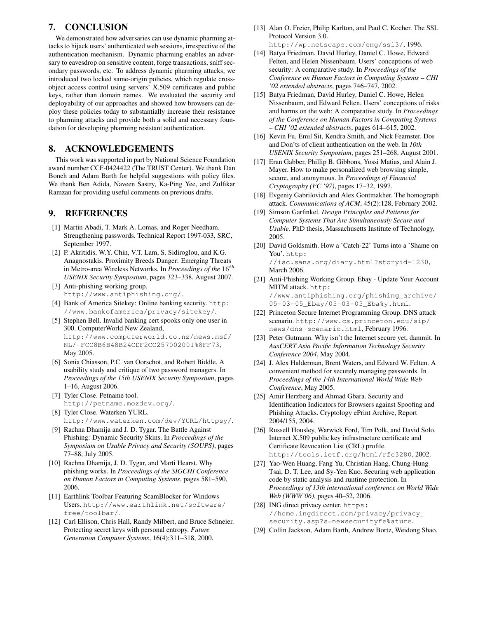# 7. CONCLUSION

We demonstrated how adversaries can use dynamic pharming attacks to hijack users' authenticated web sessions, irrespective of the authentication mechanism. Dynamic pharming enables an adversary to eavesdrop on sensitive content, forge transactions, sniff secondary passwords, etc. To address dynamic pharming attacks, we introduced two locked same-origin policies, which regulate crossobject access control using servers' X.509 certificates and public keys, rather than domain names. We evaluated the security and deployability of our approaches and showed how browsers can deploy these policies today to substantially increase their resistance to pharming attacks and provide both a solid and necessary foundation for developing pharming resistant authentication.

# 8. ACKNOWLEDGEMENTS

This work was supported in part by National Science Foundation award number CCF-0424422 (The TRUST Center). We thank Dan Boneh and Adam Barth for helpful suggestions with policy files. We thank Ben Adida, Naveen Sastry, Ka-Ping Yee, and Zulfikar Ramzan for providing useful comments on previous drafts.

# 9. REFERENCES

- [1] Martin Abadi, T. Mark A. Lomas, and Roger Needham. Strengthening passwords. Technical Report 1997-033, SRC, September 1997.
- [2] P. Akritidis, W.Y. Chin, V.T. Lam, S. Sidiroglou, and K.G. Anagnostakis. Proximity Breeds Danger: Emerging Threats in Metro-area Wireless Networks. In *Proceedings of the*  $16^{th}$ USENIX Security Symposium, pages 323–338, August 2007.
- [3] Anti-phishing working group. http://www.antiphishing.org/.
- [4] Bank of America Sitekey: Online banking security. http: //www.bankofamerica/privacy/sitekey/.
- [5] Stephen Bell. Invalid banking cert spooks only one user in 300. ComputerWorld New Zealand, http://www.computerworld.co.nz/news.nsf/ NL/-FCC8B6B48B24CDF2CC257002001%8FF73, May 2005.
- [6] Sonia Chiasson, P.C. van Oorschot, and Robert Biddle. A usability study and critique of two password managers. In Proceedings of the 15th USENIX Security Symposium, pages 1–16, August 2006.
- [7] Tyler Close. Petname tool. http://petname.mozdev.org/.
- [8] Tyler Close. Waterken YURL. http://www.waterken.com/dev/YURL/httpsy/.
- [9] Rachna Dhamija and J. D. Tygar. The Battle Against Phishing: Dynamic Security Skins. In Proceedings of the Symposium on Usable Privacy and Security (SOUPS), pages 77–88, July 2005.
- [10] Rachna Dhamija, J. D. Tygar, and Marti Hearst. Why phishing works. In Proceedings of the SIGCHI Conference on Human Factors in Computing Systems, pages 581–590, 2006.
- [11] Earthlink Toolbar Featuring ScamBlocker for Windows Users. http://www.earthlink.net/software/ free/toolbar/.
- [12] Carl Ellison, Chris Hall, Randy Milbert, and Bruce Schneier. Protecting secret keys with personal entropy. Future Generation Computer Systems, 16(4):311–318, 2000.
- [13] Alan O. Freier, Philip Karlton, and Paul C. Kocher. The SSL Protocol Version 3.0. http://wp.netscape.com/eng/ssl3/, 1996.
- [14] Batya Friedman, David Hurley, Daniel C. Howe, Edward Felten, and Helen Nissenbaum. Users' conceptions of web security: A comparative study. In Proceedings of the Conference on Human Factors in Computing Systems – CHI '02 extended abstracts, pages 746–747, 2002.
- [15] Batya Friedman, David Hurley, Daniel C. Howe, Helen Nissenbaum, and Edward Felten. Users' conceptions of risks and harms on the web: A comparative study. In Proceedings of the Conference on Human Factors in Computing Systems – CHI '02 extended abstracts, pages 614–615, 2002.
- [16] Kevin Fu, Emil Sit, Kendra Smith, and Nick Feamster. Dos and Don'ts of client authentication on the web. In 10th USENIX Security Symposium, pages 251–268, August 2001.
- [17] Eran Gabber, Phillip B. Gibbons, Yossi Matias, and Alain J. Mayer. How to make personalized web browsing simple, secure, and anonymous. In Proceedings of Financial Cryptography (FC '97), pages 17–32, 1997.
- [18] Evgeniy Gabrilovich and Alex Gontmakher. The homograph attack. Communications of ACM, 45(2):128, February 2002.
- [19] Simson Garfinkel. Design Principles and Patterns for Computer Systems That Are Simultaneously Secure and Usable. PhD thesis, Massachusetts Institute of Technology, 2005.
- [20] David Goldsmith. How a 'Catch-22' Turns into a 'Shame on You'. http: //isc.sans.org/diary.html?storyid=1230, March 2006.
- [21] Anti-Phishing Working Group. Ebay Update Your Account MITM attack. http: //www.antiphishing.org/phishing\_archive/ 05-03-05\_Ebay/05-03-05\_Eba%y.html.
- [22] Princeton Secure Internet Programming Group. DNS attack scenario. http://www.cs.princeton.edu/sip/ news/dns-scenario.html, February 1996.
- [23] Peter Gutmann. Why isn't the Internet secure yet, dammit. In AusCERT Asia Pacific Information Technology Security Conference 2004, May 2004.
- [24] J. Alex Halderman, Brent Waters, and Edward W. Felten. A convenient method for securely managing passwords. In Proceedings of the 14th International World Wide Web Conference, May 2005.
- [25] Amir Herzberg and Ahmad Gbara. Security and Identification Indicators for Browsers against Spoofing and Phishing Attacks. Cryptology ePrint Archive, Report 2004/155, 2004.
- [26] Russell Housley, Warwick Ford, Tim Polk, and David Solo. Internet X.509 public key infrastructure certificate and Certificate Revocation List (CRL) profile. http://tools.ietf.org/html/rfc3280, 2002.
- [27] Yao-Wen Huang, Fang Yu, Christian Hang, Chung-Hung Tsai, D. T. Lee, and Sy-Yen Kuo. Securing web application code by static analysis and runtime protection. In Proceedings of 13th international conference on World Wide Web (WWW'06), pages 40–52, 2006.
- [28] ING direct privacy center. https: //home.ingdirect.com/privacy/privacy\_ security.asp?s=newsecurityfe%ature.
- [29] Collin Jackson, Adam Barth, Andrew Bortz, Weidong Shao,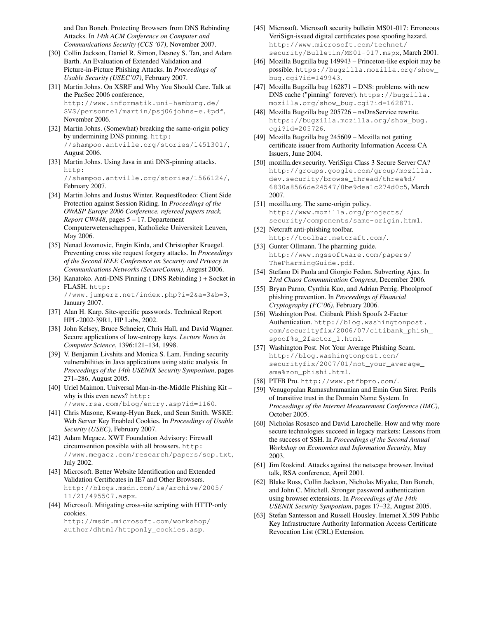and Dan Boneh. Protecting Browsers from DNS Rebinding Attacks. In 14th ACM Conference on Computer and Communications Security (CCS '07), November 2007.

- [30] Collin Jackson, Daniel R. Simon, Desney S. Tan, and Adam Barth. An Evaluation of Extended Validation and Picture-in-Picture Phishing Attacks. In Proceedings of Usable Security (USEC'07), February 2007.
- [31] Martin Johns. On XSRF and Why You Should Care. Talk at the PacSec 2006 conference, http://www.informatik.uni-hamburg.de/ SVS/personnel/martin/psj06johns-e.%pdf, November 2006.
- [32] Martin Johns. (Somewhat) breaking the same-origin policy by undermining DNS pinning. http: //shampoo.antville.org/stories/1451301/, August 2006.
- [33] Martin Johns. Using Java in anti DNS-pinning attacks. http: //shampoo.antville.org/stories/1566124/,

February 2007. [34] Martin Johns and Justus Winter. RequestRodeo: Client Side Protection against Session Riding. In Proceedings of the

- OWASP Europe 2006 Conference, refereed papers track, Report CW448, pages 5 – 17. Departement Computerwetenschappen, Katholieke Universiteit Leuven, May 2006.
- [35] Nenad Jovanovic, Engin Kirda, and Christopher Kruegel. Preventing cross site request forgery attacks. In Proceedings of the Second IEEE Conference on Security and Privacy in Communications Networks (SecureComm), August 2006.
- [36] Kanatoko. Anti-DNS Pinning ( DNS Rebinding ) + Socket in FLASH. http: //www.jumperz.net/index.php?i=2&a=3&b=3, January 2007.
- [37] Alan H. Karp. Site-specific passwords. Technical Report HPL-2002-39R1, HP Labs, 2002.
- [38] John Kelsey, Bruce Schneier, Chris Hall, and David Wagner. Secure applications of low-entropy keys. Lecture Notes in Computer Science, 1396:121–134, 1998.
- [39] V. Benjamin Livshits and Monica S. Lam. Finding security vulnerabilities in Java applications using static analysis. In Proceedings of the 14th USENIX Security Symposium, pages 271–286, August 2005.
- [40] Uriel Maimon. Universal Man-in-the-Middle Phishing Kit why is this even news? http: //www.rsa.com/blog/entry.asp?id=1160.
- [41] Chris Masone, Kwang-Hyun Baek, and Sean Smith. WSKE: Web Server Key Enabled Cookies. In Proceedings of Usable Security (USEC), February 2007.
- [42] Adam Megacz. XWT Foundation Advisory: Firewall circumvention possible with all browsers. http: //www.megacz.com/research/papers/sop.txt, July 2002.
- [43] Microsoft. Better Website Identification and Extended Validation Certificates in IE7 and Other Browsers. http://blogs.msdn.com/ie/archive/2005/ 11/21/495507.aspx.
- [44] Microsoft. Mitigating cross-site scripting with HTTP-only cookies.

http://msdn.microsoft.com/workshop/ author/dhtml/httponly\_cookies.asp.

- [45] Microsoft. Microsoft security bulletin MS01-017: Erroneous VeriSign-issued digital certificates pose spoofing hazard. http://www.microsoft.com/technet/ security/Bulletin/MS01-017.mspx, March 2001.
- [46] Mozilla Bugzilla bug 149943 Princeton-like exploit may be possible. https://bugzilla.mozilla.org/show\_ bug.cgi?id=149943.
- [47] Mozilla Bugzilla bug 162871 DNS: problems with new DNS cache ("pinning" forever). https://bugzilla. mozilla.org/show\_bug.cgi?id=162871.
- [48] Mozilla Bugzilla bug 205726 nsDnsService rewrite. https://bugzilla.mozilla.org/show\_bug. cgi?id=205726.
- [49] Mozilla Bugzilla bug 245609 Mozilla not getting certificate issuer from Authority Information Access CA Issuers, June 2004.
- [50] mozilla.dev.security. VeriSign Class 3 Secure Server CA? http://groups.google.com/group/mozilla. dev.security/browse\_thread/threa%d/ 6830a8566de24547/0be9dea1c274d0c5, March 2007.
- [51] mozilla.org. The same-origin policy. http://www.mozilla.org/projects/ security/components/same-origin.html.
- [52] Netcraft anti-phishing toolbar. http://toolbar.netcraft.com/.
- [53] Gunter Ollmann. The pharming guide. http://www.ngssoftware.com/papers/ ThePharmingGuide.pdf.
- [54] Stefano Di Paola and Giorgio Fedon. Subverting Ajax. In 23rd Chaos Communication Congress, December 2006.
- [55] Bryan Parno, Cynthia Kuo, and Adrian Perrig. Phoolproof phishing prevention. In Proceedings of Financial Cryptography (FC'06), February 2006.
- [56] Washington Post. Citibank Phish Spoofs 2-Factor Authentication. http://blog.washingtonpost. com/securityfix/2006/07/citibank\_phish\_ spoof%s\_2factor\_1.html.
- [57] Washington Post. Not Your Average Phishing Scam. http://blog.washingtonpost.com/ securityfix/2007/01/not\_your\_average\_ ama%zon\_phishi.html.
- [58] PTFB Pro. http://www.ptfbpro.com/.
- [59] Venugopalan Ramasubramanian and Emin Gun Sirer. Perils of transitive trust in the Domain Name System. In Proceedings of the Internet Measurement Conference (IMC), October 2005.
- [60] Nicholas Rosasco and David Larochelle. How and why more secure technologies succeed in legacy markets: Lessons from the success of SSH. In Proceedings of the Second Annual Workshop on Economics and Information Security, May 2003.
- [61] Jim Roskind. Attacks against the netscape browser. Invited talk, RSA conference, April 2001.
- [62] Blake Ross, Collin Jackson, Nicholas Miyake, Dan Boneh, and John C. Mitchell. Stronger password authentication using browser extensions. In Proceedings of the 14th USENIX Security Symposium, pages 17–32, August 2005.
- [63] Stefan Santesson and Russell Housley. Internet X.509 Public Key Infrastructure Authority Information Access Certificate Revocation List (CRL) Extension.